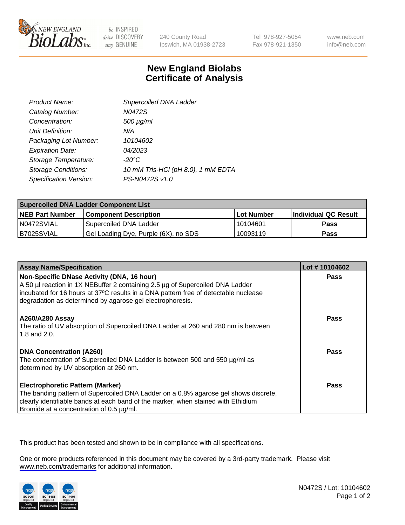

be INSPIRED drive DISCOVERY stay GENUINE

240 County Road Ipswich, MA 01938-2723 Tel 978-927-5054 Fax 978-921-1350

www.neb.com info@neb.com

## **New England Biolabs Certificate of Analysis**

| Product Name:              | Supercoiled DNA Ladder             |
|----------------------------|------------------------------------|
| Catalog Number:            | N0472S                             |
| Concentration:             | 500 µg/ml                          |
| Unit Definition:           | N/A                                |
| Packaging Lot Number:      | 10104602                           |
| <b>Expiration Date:</b>    | <i>04/2023</i>                     |
| Storage Temperature:       | -20°C                              |
| <b>Storage Conditions:</b> | 10 mM Tris-HCl (pH 8.0), 1 mM EDTA |
| Specification Version:     | PS-N0472S v1.0                     |

| <b>Supercoiled DNA Ladder Component List</b> |                                      |              |                      |  |
|----------------------------------------------|--------------------------------------|--------------|----------------------|--|
| <b>NEB Part Number</b>                       | <b>Component Description</b>         | l Lot Number | Individual QC Result |  |
| N0472SVIAL                                   | Supercoiled DNA Ladder               | 10104601     | <b>Pass</b>          |  |
| B7025SVIAL                                   | Gel Loading Dye, Purple (6X), no SDS | 10093119     | <b>Pass</b>          |  |

| <b>Assay Name/Specification</b>                                                                                                                                                                                                                                                 | Lot #10104602 |
|---------------------------------------------------------------------------------------------------------------------------------------------------------------------------------------------------------------------------------------------------------------------------------|---------------|
| Non-Specific DNase Activity (DNA, 16 hour)<br>A 50 µl reaction in 1X NEBuffer 2 containing 2.5 µg of Supercoiled DNA Ladder<br>incubated for 16 hours at 37°C results in a DNA pattern free of detectable nuclease<br>degradation as determined by agarose gel electrophoresis. | <b>Pass</b>   |
| <b>A260/A280 Assay</b><br>The ratio of UV absorption of Supercoiled DNA Ladder at 260 and 280 nm is between<br>1.8 and 2.0.                                                                                                                                                     | Pass          |
| <b>DNA Concentration (A260)</b><br>The concentration of Supercoiled DNA Ladder is between 500 and 550 µg/ml as<br>determined by UV absorption at 260 nm.                                                                                                                        | Pass          |
| <b>Electrophoretic Pattern (Marker)</b><br>The banding pattern of Supercoiled DNA Ladder on a 0.8% agarose gel shows discrete,<br>clearly identifiable bands at each band of the marker, when stained with Ethidium<br>Bromide at a concentration of 0.5 µg/ml.                 | Pass          |

This product has been tested and shown to be in compliance with all specifications.

One or more products referenced in this document may be covered by a 3rd-party trademark. Please visit <www.neb.com/trademarks>for additional information.